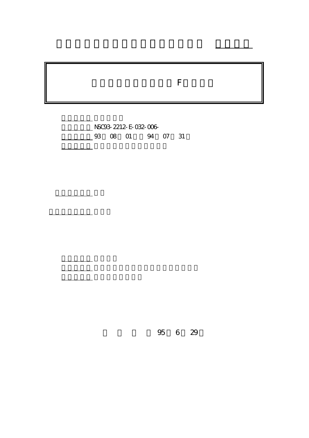# 各種惡劣天氣下等效性 F 因子研究

行政院國家科學委員會專題研究計畫 成果報告

NSC93-2212-E-032-006-03 08 01 94 07 31

報告附件: 出席國際會議研究心得報告及發表論文

執行單位: 淡江大學航空太空工程學系

計畫主持人: 宛同

計畫參與人員: 王正民

處理方式: 本計畫可公開查詢

報告類型: 精簡報告

95 6 29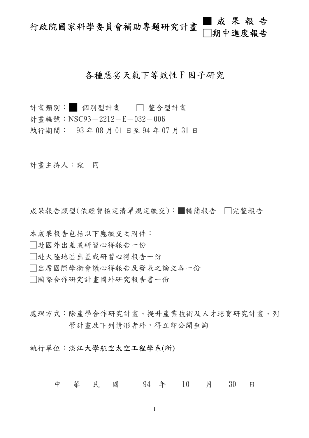## 行政院國家科學委員會補助專題研究計畫 ■成果報告 □期中進度報告

## 各種惡劣天氣下等效性F因子研究

計畫類別: 個別型計畫 □ 整合型計畫

- 計書編號: NSC93-2212-E-032-006
- 執行期間: 93 年 08 月 01 日至 94 年 07 月 31 日

計畫主持人:宛 同

成果報告類型(依經費核定清單規定繳交):■精簡報告 □完整報告

- 本成果報告包括以下應繳交之附件:
- □赴國外出差或研習心得報告一份
- □赴大陸地區出差或研習心得報告一份
- □出席國際學術會議心得報告及發表之論文各一份
- □國際合作研究計畫國外研究報告書一份
- 處理方式:除產學合作研究計畫、提升產業技術及人才培育研究計畫、列 管計畫及下列情形者外,得立即公開查詢

執行單位:淡江大學航空太空工程學系(所)

中 華 民 國 94 年 10 月 30 日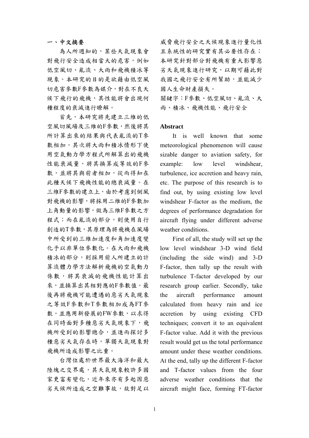#### 一、中文摘要

為人所週知的,某些天氣現象會 對飛行安全造成相當大的危害,例如 低空風切、亂流、大雨和飛機積冰等 現象。本研究的目的是欲藉由低空風 切危害參數F參數為媒介,對在不良天 候下飛行的飛機,其性能將會出現何 種程度的衰減進行瞭解。

首先,本研究將先建立三維的低 空風切風場及三維的F參數,然後將其 所計算出來的結果與代表亂流的T參 數相加。其次將大雨和積冰情形下使 用空氣動力學方程式所解算出的飛機 性能衰減量,將其換算成等效的F參 數,並將其與前者相加,從而得知在 此種天候下飛機性能的總衰減量。在 三維F參數的建立上,由於考慮到側風 對飛機的影響,將採用二維的F參數加 上角動量的影響,做為三維F參數之方 程式;而在亂流的部分,則使用自行 創造的T參數,其原理為將飛機在風場 中所受到的三維加速度和角加速度變 化予以非單位參數化。在大雨和飛機 積冰的部分,則採用前人所建立的計 算流體力學方法解析飛機的空氣動力 係數,將其衰減的飛機性能計算出 來,並換算出其相對應的F參數值。最 後再將飛機可能遭遇的惡劣天氣現象 之等效F參數和T參數相加成為FT參 數,並應用新發展的FW參數,以求得 在同時面對多種惡劣天氣現象下,飛 機所受到的影響總合,並進而探討多 種惡劣天氣存在時,單獨天氣現象對 飛機所造成影響之比重。

台灣位處於世界最大海洋和最大 陸塊之交界處,其天氣現象較許多國 家更富有變化,近年來亦有多起因惡 劣天候所造成之空難事故,故對足以 威脅飛行安全之天候現象進行量化性 且系統性的研究實有其必要性存在; 本研究針對部分對飛機有重大影響惡 劣天氣現象進行研究,以期可藉此對 我國之飛行安全有所幫助,並能減少 國人生命財產損失。

關鍵字:F參數、低空風切、亂流、大 雨、積冰、飛機性能、飛行安全

#### **Abstract**

 It is well known that some meteorological phenomenon will cause sizable danger to aviation safety, for example: low level windshear, turbulence, ice accretion and heavy rain, etc. The purpose of this research is to find out, by using existing low level windshear F-factor as the medium, the degrees of performance degradation for aircraft flying under different adverse weather conditions.

 First of all, the study will set up the low level windshear 3-D wind field (including the side wind) and 3-D F-factor, then tally up the result with turbulence T-factor developed by our research group earlier. Secondly, take the aircraft performance amount calculated from heavy rain and ice accretion by using existing CFD techniques; convert it to an equivalent F-factor value. Add it with the previous result would get us the total performance amount under these weather conditions. At the end, tally up the different F-factor and T-factor values from the four adverse weather conditions that the aircraft might face, forming FT-factor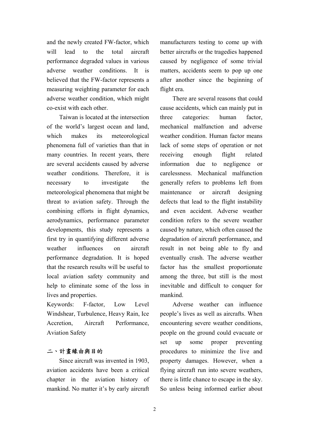and the newly created FW-factor, which will lead to the total aircraft performance degraded values in various adverse weather conditions. It is believed that the FW-factor represents a measuring weighting parameter for each adverse weather condition, which might co-exist with each other.

 Taiwan is located at the intersection of the world's largest ocean and land, which makes its meteorological phenomena full of varieties than that in many countries. In recent years, there are several accidents caused by adverse weather conditions. Therefore, it is necessary to investigate the meteorological phenomena that might be threat to aviation safety. Through the combining efforts in flight dynamics, aerodynamics, performance parameter developments, this study represents a first try in quantifying different adverse weather influences on aircraft performance degradation. It is hoped that the research results will be useful to local aviation safety community and help to eliminate some of the loss in lives and properties.

Keywords: F-factor, Low Level Windshear, Turbulence, Heavy Rain, Ice Accretion, Aircraft Performance, Aviation Safety

### 二、計畫緣由與目的

 Since aircraft was invented in 1903, aviation accidents have been a critical chapter in the aviation history of mankind. No matter it's by early aircraft

manufacturers testing to come up with better aircrafts or the tragedies happened caused by negligence of some trivial matters, accidents seem to pop up one after another since the beginning of flight era.

 There are several reasons that could cause accidents, which can mainly put in three categories: human factor, mechanical malfunction and adverse weather condition. Human factor means lack of some steps of operation or not receiving enough flight related information due to negligence or carelessness. Mechanical malfunction generally refers to problems left from maintenance or aircraft designing defects that lead to the flight instability and even accident. Adverse weather condition refers to the severe weather caused by nature, which often caused the degradation of aircraft performance, and result in not being able to fly and eventually crash. The adverse weather factor has the smallest proportionate among the three, but still is the most inevitable and difficult to conquer for mankind.

 Adverse weather can influence people's lives as well as aircrafts. When encountering severe weather conditions, people on the ground could evacuate or set up some proper preventing procedures to minimize the live and property damages. However, when a flying aircraft run into severe weathers, there is little chance to escape in the sky. So unless being informed earlier about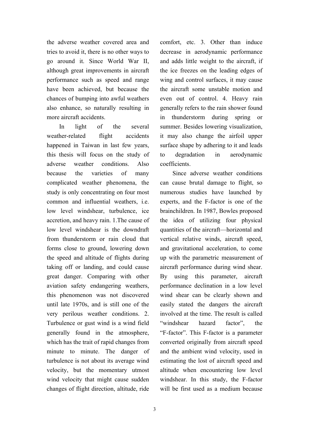the adverse weather covered area and tries to avoid it, there is no other ways to go around it. Since World War II, although great improvements in aircraft performance such as speed and range have been achieved, but because the chances of bumping into awful weathers also enhance, so naturally resulting in more aircraft accidents.

 In light of the several weather-related flight accidents happened in Taiwan in last few years, this thesis will focus on the study of adverse weather conditions. Also because the varieties of many complicated weather phenomena, the study is only concentrating on four most common and influential weathers, i.e. low level windshear, turbulence, ice accretion, and heavy rain. 1.The cause of low level windshear is the downdraft from thunderstorm or rain cloud that forms close to ground, lowering down the speed and altitude of flights during taking off or landing, and could cause great danger. Comparing with other aviation safety endangering weathers, this phenomenon was not discovered until late 1970s, and is still one of the very perilous weather conditions. 2. Turbulence or gust wind is a wind field generally found in the atmosphere, which has the trait of rapid changes from minute to minute. The danger of turbulence is not about its average wind velocity, but the momentary utmost wind velocity that might cause sudden changes of flight direction, altitude, ride

comfort, etc. 3. Other than induce decrease in aerodynamic performance and adds little weight to the aircraft, if the ice freezes on the leading edges of wing and control surfaces, it may cause the aircraft some unstable motion and even out of control. 4. Heavy rain generally refers to the rain shower found in thunderstorm during spring or summer. Besides lowering visualization, it may also change the airfoil upper surface shape by adhering to it and leads to degradation in aerodynamic coefficients.

 Since adverse weather conditions can cause brutal damage to flight, so numerous studies have launched by experts, and the F-factor is one of the brainchildren. In 1987, Bowles proposed the idea of utilizing four physical quantities of the aircraft—horizontal and vertical relative winds, aircraft speed, and gravitational acceleration, to come up with the parametric measurement of aircraft performance during wind shear. By using this parameter, aircraft performance declination in a low level wind shear can be clearly shown and easily stated the dangers the aircraft involved at the time. The result is called "windshear hazard factor", the "F-factor". This F-factor is a parameter converted originally from aircraft speed and the ambient wind velocity, used in estimating the lost of aircraft speed and altitude when encountering low level windshear. In this study, the F-factor will be first used as a medium because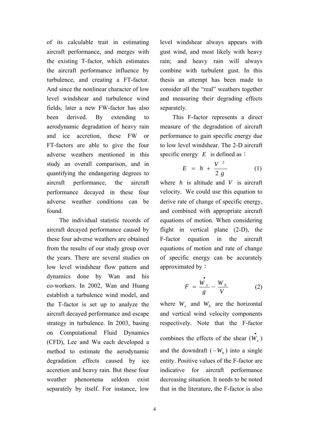of its calculable trait in estimating aircraft performance, and merges with the existing T-factor, which estimates the aircraft performance influence by turbulence, and creating a FT-factor. And since the nonlinear character of low level windshear and turbulence wind fields, later a new FW-factor has also been derived. By extending to aerodynamic degradation of heavy rain and ice accretion, these FW or FT-factors are able to give the four adverse weathers mentioned in this study an overall comparison, and in quantifying the endangering degrees to aircraft performance, the aircraft performance decayed in these four adverse weather conditions can be found.

 The individual statistic records of aircraft decayed performance caused by these four adverse weathers are obtained from the results of our study group over the years. There are several studies on low level windshear flow pattern and dynamics done by Wan and his co-workers. In 2002, Wan and Huang establish a turbulence wind model, and the T-factor is set up to analyze the aircraft decayed performance and escape strategy in turbulence. In 2003, basing on Computational Fluid Dynamics (CFD), Lee and Wu each developed a method to estimate the aerodynamic degradation effects caused by ice accretion and heavy rain. But these four weather phenomena seldom exist separately by itself. For instance, low

level windshear always appears with gust wind, and most likely with heavy rain; and heavy rain will always combine with turbulent gust. In this thesis an attempt has been made to consider all the "real" weathers together and measuring their degrading effects separately.

This F-factor represents a direct measure of the degradation of aircraft performance to gain specific energy due to low level windshear. The 2-D aircraft specific energy  $E$  is defined as:

$$
E = h + \frac{V^2}{2 g} \tag{1}
$$

where  $h$  is altitude and  $V$  is aircraft velocity. We could use this equation to derive rate of change of specific energy, and combined with appropriate aircraft equations of motion. When considering flight in vertical plane (2-D), the F-factor equation in the aircraft equations of motion and rate of change of specific energy can be accurately approximated by:

$$
F = \frac{\dot{W_x}}{g} - \frac{W_h}{V} \tag{2}
$$

where  $W_r$  and  $W_h$  are the horizontal and vertical wind velocity components respectively. Note that the F-factor combines the effects of the shear  $(\mathbf{\dot{W}_{x}})$ and the downdraft  $(-W_h)$  into a single entity. Positive values of the F-factor are indicative for aircraft performance decreasing situation. It needs to be noted that in the literature, the F-factor is also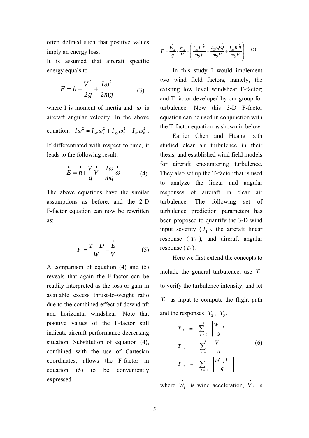often defined such that positive values imply an energy loss.

It is assumed that aircraft specific energy equals to

$$
E = h + \frac{V^2}{2g} + \frac{I\omega^2}{2mg}
$$
 (3)

where I is moment of inertia and  $\omega$  is aircraft angular velocity. In the above equation,  $I\omega^2 = I_{xx}\omega_x^2 + I_{yy}\omega_y^2 + I_{zz}\omega_z^2$ .

If differentiated with respect to time, it leads to the following result,

$$
\dot{E} = \dot{h} + \frac{V}{g}\dot{V} + \frac{I\omega}{mg}\omega
$$
 (4)

The above equations have the similar assumptions as before, and the 2-D F-factor equation can now be rewritten as:

$$
F = \frac{T - D}{W} - \frac{\dot{E}}{V}
$$
 (5)

A comparison of equation (4) and (5) reveals that again the F-factor can be readily interpreted as the loss or gain in available excess thrust-to-weight ratio due to the combined effect of downdraft and horizontal windshear. Note that positive values of the F-factor still indicate aircraft performance decreasing situation. Substitution of equation (4), combined with the use of Cartesian coordinates, allows the F-factor in equation (5) to be conveniently expressed

$$
F = \frac{\dot{W}_x}{g} - \frac{W_h}{V} + \left(\frac{I_{xx}P\dot{P}}{mgV} + \frac{I_{yy}Q\dot{Q}}{mgV} + \frac{I_{zz}R\dot{R}}{mgV}\right) \tag{5}
$$

 In this study I would implement two wind field factors, namely, the existing low level windshear F-factor; and T-factor developed by our group for turbulence. Now this 3-D F-factor equation can be used in conjunction with the T-factor equation as shown in below.

Earlier Chen and Huang both studied clear air turbulence in their thesis, and established wind field models for aircraft encountering turbulence. They also set up the T-factor that is used to analyze the linear and angular responses of aircraft in clear air turbulence. The following set of turbulence prediction parameters has been proposed to quantify the 3-D wind input severity  $(T_1)$ , the aircraft linear response  $(T_2)$ , and aircraft angular response  $(T_3)$ .

Here we first extend the concepts to include the general turbulence, use  $T_1$ to verify the turbulence intensity, and let  $T_1$  as input to compute the flight path and the responses  $T_2$ ,  $T_3$ .

$$
T_{1} = \sum_{i=1}^{3} \left| \frac{W_{i}}{g} \right|
$$
  
\n
$$
T_{2} = \sum_{i=1}^{3} \left| \frac{V_{i}}{g} \right|
$$
  
\n
$$
T_{3} = \sum_{i=1}^{3} \left| \frac{\omega_{i} l_{i}}{g} \right|
$$
  
\n(6)

where  $\vec{W}_i$  is wind acceleration,  $\vec{V}_i$  is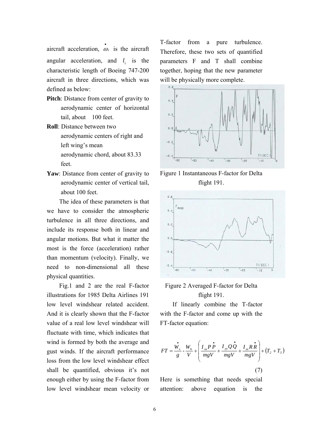aircraft acceleration,  $\dot{\omega}_i$  is the aircraft angular acceleration, and  $l_i$  is the characteristic length of Boeing 747-200 aircraft in three directions, which was defined as below:

**Pitch**: Distance from center of gravity to aerodynamic center of horizontal tail, about 100 feet.

**Roll**: Distance between two aerodynamic centers of right and left wing's mean aerodynamic chord, about 83.33 feet.

**Yaw**: Distance from center of gravity to aerodynamic center of vertical tail, about 100 feet.

The idea of these parameters is that we have to consider the atmospheric turbulence in all three directions, and include its response both in linear and angular motions. But what it matter the most is the force (acceleration) rather than momentum (velocity). Finally, we need to non-dimensional all these physical quantities.

 Fig.1 and 2 are the real F-factor illustrations for 1985 Delta Airlines 191 low level windshear related accident. And it is clearly shown that the F-factor value of a real low level windshear will fluctuate with time, which indicates that wind is formed by both the average and gust winds. If the aircraft performance loss from the low level windshear effect shall be quantified, obvious it's not enough either by using the F-factor from low level windshear mean velocity or

T-factor from a pure turbulence. Therefore, these two sets of quantified parameters F and T shall combine together, hoping that the new parameter will be physically more complete.



Figure 1 Instantaneous F-factor for Delta flight 191.



## Figure 2 Averaged F-factor for Delta flight 191.

If linearly combine the T-factor with the F-factor and come up with the FT-factor equation:

$$
FT = \frac{\dot{W_x}}{g} - \frac{W_h}{V} + \left(\frac{I_{xx}P\dot{P}}{mgV} + \frac{I_{yy}Q\dot{Q}}{mgV} + \frac{I_{zz}R\dot{R}}{mgV}\right) + (T_2 + T_3)
$$
\n(7)

Here is something that needs special attention: above equation is the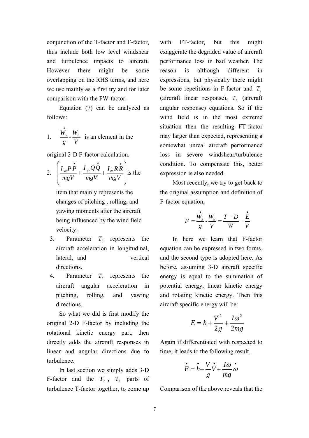conjunction of the T-factor and F-factor, thus include both low level windshear and turbulence impacts to aircraft. However there might be some overlapping on the RHS terms, and here we use mainly as a first try and for later comparison with the FW-factor.

Equation (7) can be analyzed as follows:

1. 
$$
\frac{\dot{W}_x}{g} - \frac{W_h}{V}
$$
 is an element in the

original 2-D F-factor calculation.

2. 
$$
\left(\frac{I_{xx}P\dot{P}}{mgV} + \frac{I_{yy}Q\dot{Q}}{mgV} + \frac{I_{zz}R\dot{R}}{mgV}\right)
$$
 is the

item that mainly represents the changes of pitching , rolling, and yawing moments after the aircraft being influenced by the wind field velocity.

- 3. Parameter  $T_2$  represents the aircraft acceleration in longitudinal, lateral, and vertical directions.
- 4. Parameter  $T_3$  represents the aircraft angular acceleration in pitching, rolling, and yawing directions.

So what we did is first modify the original 2-D F-factor by including the rotational kinetic energy part, then directly adds the aircraft responses in linear and angular directions due to turbulence.

 In last section we simply adds 3-D F-factor and the  $T_2$ ,  $T_3$  parts of turbulence T-factor together, to come up

with FT-factor, but this might exaggerate the degraded value of aircraft performance loss in bad weather. The reason is although different in expressions, but physically there might be some repetitions in F-factor and  $T_2$ (aircraft linear response),  $T_3$  (aircraft angular response) equations. So if the wind field is in the most extreme situation then the resulting FT-factor may larger than expected, representing a somewhat unreal aircraft performance loss in severe windshear/turbulence condition. To compensate this, better expression is also needed.

Most recently, we try to get back to the original assumption and definition of F-factor equation,

$$
F = \frac{\dot{W}_x}{g} - \frac{W_h}{V} = \frac{T - D}{W} - \frac{\dot{E}}{V}
$$

In here we learn that F-factor equation can be expressed in two forms, and the second type is adopted here. As before, assuming 3-D aircraft specific energy is equal to the summation of potential energy, linear kinetic energy and rotating kinetic energy. Then this aircraft specific energy will be:

$$
E = h + \frac{V^2}{2g} + \frac{I\omega^2}{2mg}
$$

Again if differentiated with respected to time, it leads to the following result,

$$
\dot{E} = \dot{h} + \frac{V}{g}\dot{V} + \frac{I\omega}{mg}\omega
$$

Comparison of the above reveals that the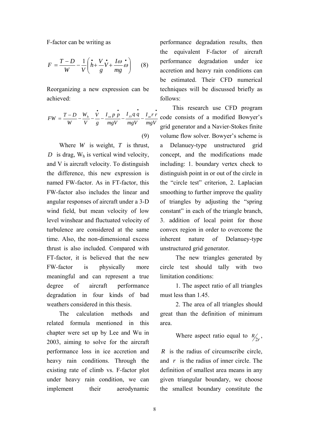F-factor can be writing as

$$
F = \frac{T - D}{W} - \frac{1}{V} \left( \dot{h} + \frac{V}{g} \dot{V} + \frac{I\omega}{mg} \dot{\omega} \right) \tag{8}
$$

Reorganizing a new expression can be achieved:

$$
FW = \frac{T - D}{W} - \frac{W_h}{V} - \frac{\dot{V}}{g} - \frac{I_{xx}p \dot{p}}{mgV} - \frac{I_{yy}q \dot{q}}{mgV} - \frac{I_{zz}r \dot{r}}{mgV}
$$
\n(9)

Where *W* is weight, *T* is thrust,  $D$  is drag,  $W_h$  is vertical wind velocity, and V is aircraft velocity. To distinguish the difference, this new expression is named FW-factor. As in FT-factor, this FW-factor also includes the linear and angular responses of aircraft under a 3-D wind field, but mean velocity of low level winshear and fluctuated velocity of turbulence are considered at the same time. Also, the non-dimensional excess thrust is also included. Compared with FT-factor, it is believed that the new FW-factor is physically more meaningful and can represent a true degree of aircraft performance degradation in four kinds of bad weathers considered in this thesis.

The calculation methods and related formula mentioned in this chapter were set up by Lee and Wu in 2003, aiming to solve for the aircraft performance loss in ice accretion and heavy rain conditions. Through the existing rate of climb vs. F-factor plot under heavy rain condition, we can implement their aerodynamic

performance degradation results, then the equivalent F-factor of aircraft performance degradation under ice accretion and heavy rain conditions can be estimated. Their CFD numerical techniques will be discussed briefly as follows:

This research use CFD program code consists of a modified Bowyer's grid generator and a Navier-Stokes finite volume flow solver. Bowyer's scheme is a Delanuey-type unstructured grid concept, and the modifications made including: 1. boundary vertex check to distinguish point in or out of the circle in the "circle test" criterion, 2. Laplacian smoothing to further improve the quality of triangles by adjusting the "spring constant" in each of the triangle branch, 3. addition of local point for those convex region in order to overcome the inherent nature of Delanuey-type unstructured grid generator.

 The new triangles generated by circle test should tally with two limitation conditions:

 1. The aspect ratio of all triangles must less than 1.45.

 2. The area of all triangles should great than the definition of minimum area.

Where aspect ratio equal to  $R/2r$ ,

*R* is the radius of circumscribe circle, and *r* is the radius of inner circle. The definition of smallest area means in any given triangular boundary, we choose the smallest boundary constitute the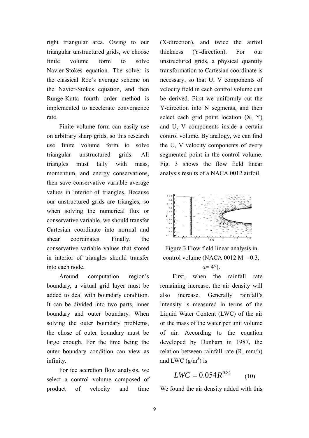right triangular area. Owing to our triangular unstructured grids, we choose finite volume form to solve Navier-Stokes equation. The solver is the classical Roe's average scheme on the Navier-Stokes equation, and then Runge-Kutta fourth order method is implemented to accelerate convergence rate.

Finite volume form can easily use on arbitrary sharp grids, so this research use finite volume form to solve triangular unstructured grids. All triangles must tally with mass, momentum, and energy conservations, then save conservative variable average values in interior of triangles. Because our unstructured grids are triangles, so when solving the numerical flux or conservative variable, we should transfer Cartesian coordinate into normal and shear coordinates. Finally, the conservative variable values that stored in interior of triangles should transfer into each node.

Around computation region's boundary, a virtual grid layer must be added to deal with boundary condition. It can be divided into two parts, inner boundary and outer boundary. When solving the outer boundary problems, the chose of outer boundary must be large enough. For the time being the outer boundary condition can view as infinity.

For ice accretion flow analysis, we select a control volume composed of product of velocity and time

(X-direction), and twice the airfoil thickness (Y-direction). For our unstructured grids, a physical quantity transformation to Cartesian coordinate is necessary, so that U, V components of velocity field in each control volume can be derived. First we uniformly cut the Y-direction into N segments, and then select each grid point location  $(X, Y)$ and U, V components inside a certain control volume. By analogy, we can find the U, V velocity components of every segmented point in the control volume. Fig. 3 shows the flow field linear analysis results of a NACA 0012 airfoil.



Figure 3 Flow field linear analysis in control volume (NACA 0012  $M = 0.3$ ,

 $\alpha = 4^{\circ}$ ).

First, when the rainfall rate remaining increase, the air density will also increase. Generally rainfall's intensity is measured in terms of the Liquid Water Content (LWC) of the air or the mass of the water per unit volume of air. According to the equation developed by Dunham in 1987, the relation between rainfall rate (R, mm/h) and LWC  $(g/m^3)$  is

$$
LWC = 0.054R^{0.84} \qquad (10)
$$

We found the air density added with this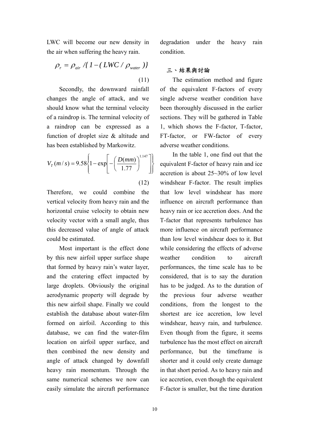LWC will become our new density in the air when suffering the heavy rain.

$$
\rho_r = \rho_{\text{air}} / \{ 1 - (LWC / \rho_{\text{water}}) \}
$$
\n(11)

Secondly, the downward rainfall changes the angle of attack, and we should know what the terminal velocity of a raindrop is. The terminal velocity of a raindrop can be expressed as a function of droplet size & altitude and has been established by Markowitz.

$$
V_T(m/s) = 9.58 \left\{ 1 - \exp \left[ -\left( \frac{D(mm)}{1.77} \right)^{1.147} \right] \right\}
$$

(12)

Therefore, we could combine the vertical velocity from heavy rain and the horizontal cruise velocity to obtain new velocity vector with a small angle, thus this decreased value of angle of attack could be estimated.

Most important is the effect done by this new airfoil upper surface shape that formed by heavy rain's water layer, and the cratering effect impacted by large droplets. Obviously the original aerodynamic property will degrade by this new airfoil shape. Finally we could establish the database about water-film formed on airfoil. According to this database, we can find the water-film location on airfoil upper surface, and then combined the new density and angle of attack changed by downfall heavy rain momentum. Through the same numerical schemes we now can easily simulate the aircraft performance

degradation under the heavy rain condition.

## 三、結果與討論

The estimation method and figure of the equivalent F-factors of every single adverse weather condition have been thoroughly discussed in the earlier sections. They will be gathered in Table 1, which shows the F-factor, T-factor, FT-factor, or FW-factor of every adverse weather conditions.

In the table 1, one find out that the equivalent F-factor of heavy rain and ice accretion is about 25~30% of low level windshear F-factor. The result implies that low level windshear has more influence on aircraft performance than heavy rain or ice accretion does. And the T-factor that represents turbulence has more influence on aircraft performance than low level windshear does to it. But while considering the effects of adverse weather condition to aircraft performances, the time scale has to be considered, that is to say the duration has to be judged. As to the duration of the previous four adverse weather conditions, from the longest to the shortest are ice accretion, low level windshear, heavy rain, and turbulence. Even though from the figure, it seems turbulence has the most effect on aircraft performance, but the timeframe is shorter and it could only create damage in that short period. As to heavy rain and ice accretion, even though the equivalent F-factor is smaller, but the time duration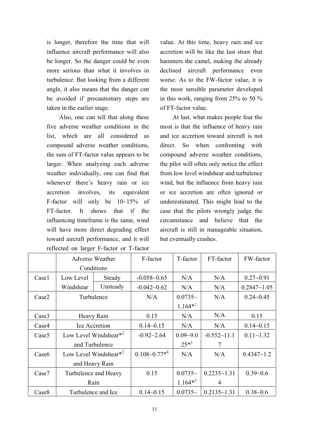is longer, therefore the time that will influence aircraft performance will also be longer. So the danger could be even more serious than what it involves in turbulence. But looking from a different angle, it also means that the danger can be avoided if precautionary steps are taken in the earlier stage.

Also, one can tell that along these five adverse weather conditions in the list, which are all considered compound adverse weather conditions, the sum of FT-factor value appears to be larger. When analyzing each adverse weather individually, one can find that whenever there's heavy rain or ice accretion involves, its equivalent F-factor will only be 10~15% of FT-factor. It shows that if the influencing timeframe is the same, wind will have more direct degrading effect toward aircraft performance, and it will reflected on larger F-factor or T-factor

value. At this time, heavy rain and ice accretion will be like the last straw that hammers the camel, making the already declined aircraft performance even worse. As to the FW-factor value, it is the most sensible parameter developed in this work, ranging from 25% to 50 % of FT-factor value.

At last, what makes people fear the most is that the influence of heavy rain and ice accretion toward aircraft is not direct. So when confronting with compound adverse weather conditions, the pilot will often only notice the effect from low level windshear and turbulence wind, but the influence from heavy rain or ice accretion are often ignored or underestimated. This might lead to the case that the pilots wrongly judge the circumstance and believe that the aircraft is still in manageable situation, but eventually crashes.

|                   | <b>Adverse Weather</b>    |                                   | F-factor            | T-factor     | FT-factor       | FW-factor       |
|-------------------|---------------------------|-----------------------------------|---------------------|--------------|-----------------|-----------------|
|                   | Conditions                |                                   |                     |              |                 |                 |
| Case1             | Low Level                 | Steady                            | $-0.058 - 0.65$     | N/A          | N/A             | $0.27 - 0.91$   |
|                   | Windshear                 | Unsteady                          | $-0.042 - 0.62$     | N/A          | N/A             | $0.2847 - 1.05$ |
| Case2             | Turbulence                |                                   | N/A                 | $0.0735-$    | N/A             | $0.24 - 0.45$   |
|                   |                           |                                   |                     | $1.164*^{1}$ |                 |                 |
| Case3             | Heavy Rain                |                                   | 0.15                | N/A          | N/A             | 0.15            |
| Case4             | Ice Accretion             |                                   | $0.14 - 0.15$       | N/A          | N/A             | $0.14 - 0.15$   |
| Case <sub>5</sub> | Low Level Windshear $*^2$ |                                   | $-0.92 - 2.64$      | $0.09 - 9.0$ | $-0.552-11.1$   | $0.11 - 1.32$   |
|                   | and Turbulence            |                                   |                     | $25*^3$      | 7               |                 |
| Case <sub>6</sub> |                           | Low Level Windshear* <sup>2</sup> | $0.108 - 0.77^{*4}$ | N/A          | N/A             | $0.4347 - 1.2$  |
|                   |                           | and Heavy Rain                    |                     |              |                 |                 |
| Case7             |                           | Turbulence and Heavy              | 0.15                | $0.0735-$    | $0.2235 - 1.31$ | $0.39 - 0.6$    |
|                   |                           | Rain                              |                     | $1.164*^{5}$ | 4               |                 |
| Case <sub>8</sub> | Turbulence and Ice        |                                   | $0.14 - 0.15$       | $0.0735-$    | $0.2135 - 1.31$ | $0.38 - 0.6$    |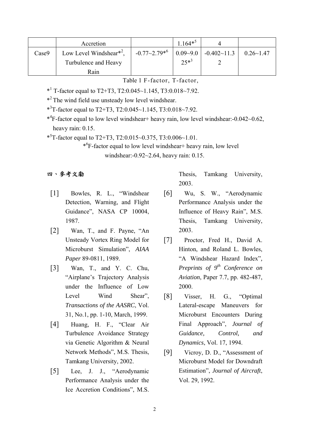|       | Accretion                           |                     | $1.164**$ |                                              |                  |
|-------|-------------------------------------|---------------------|-----------|----------------------------------------------|------------------|
| Case9 | Low Level Windshear <sup>*2</sup> , | $-0.77 - 2.79^{*6}$ |           | $\vert 0.09 - 9.0 \vert -0.402 - 11.3 \vert$ | $0.26 \sim 1.47$ |
|       | Turbulence and Heavy                |                     | $25*^3$   |                                              |                  |
|       | Rain                                |                     |           |                                              |                  |

Table 1 F-factor, T-factor,

- $*$ <sup>1</sup> T-factor equal to T2+T3, T2:0.045~1.145, T3:0.018~7.92.
- \*2 The wind field use unsteady low level windshear.
- \*3 T-factor equal to T2+T3, T2:0.045~1.145, T3:0.018~7.92.

\*4 F-factor equal to low level windshear+ heavy rain, low level windshear:-0.042~0.62, heavy rain: 0.15.

\*5 T-factor equal to T2+T3, T2:0.015~0.375, T3:0.006~1.01.

\*6 F-factor equal to low level windshear+ heavy rain, low level windshear:-0.92~2.64, heavy rain: 0.15.

### 四、參考文勮

- [1] Bowles, R. L., "Windshear Detection, Warning, and Flight Guidance", NASA CP 10004, 1987.
- [2] Wan, T., and F. Payne, "An Unsteady Vortex Ring Model for Microburst Simulation", *AIAA Paper* 89-0811, 1989.
- [3] Wan, T., and Y. C. Chu, "Airplane's Trajectory Analysis under the Influence of Low Level Wind Shear", *Transactions of the AASRC*, Vol. 31, No.1, pp. 1-10, March, 1999.
- [4] Huang, H. F., "Clear Air Turbulence Avoidance Strategy via Genetic Algorithm & Neural Network Methods", M.S. Thesis, Tamkang University, 2002.
- [5] Lee, J. J., "Aerodynamic Performance Analysis under the Ice Accretion Conditions", M.S.

Thesis, Tamkang University, 2003.

- [6] Wu, S. W., "Aerodynamic Performance Analysis under the Influence of Heavy Rain", M.S. Thesis, Tamkang University, 2003.
- [7] Proctor, Fred H., David A. Hinton, and Roland L. Bowles, "A Windshear Hazard Index"*, Preprints of 9th Conference on Aviation*, Paper 7.7, pp. 482-487, 2000.
- [8] Visser, H. G., "Optimal Lateral-escape Maneuvers for Microburst Encounters During Final Approach", *Journal of Guidance, Control, and Dynamics*, Vol. 17, 1994.
- [9] Vicroy, D. D., "Assessment of Microburst Model for Downdraft Estimation", *Journal of Aircraft*, Vol. 29, 1992.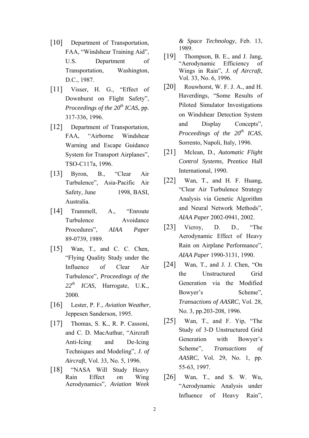- [10] Department of Transportation, FAA, "Windshear Training Aid", U.S. Department of Transportation, Washington, D.C., 1987.
- [11] Visser, H. G., "Effect of Downburst on Flight Safety", *Proceedings of the 20<sup>th</sup> ICAS*, pp. 317-336, 1996.
- [12] Department of Transportation, FAA, "Airborne Windshear Warning and Escape Guidance System for Transport Airplanes", TSO-C117a, 1996.
- [13] Byron, B., "Clear Air Turbulence", Asia-Pacific Air Safety, June 1998, BASI, Australia.
- [14] Trammell, A., "Enroute Turbulence Avoidance Procedures", *AIAA Paper* 89-0739, 1989.
- [15] Wan, T., and C. C. Chen, "Flying Quality Study under the Influence of Clear Air Turbulence", *Proceedings of the 22th ICAS*, Harrogate, U.K., 2000.
- [16] Lester, P. F., *Aviation Weather*, Jeppesen Sanderson, 1995.
- [17] Thomas, S. K., R. P. Cassoni, and C. D. MacAuthur, "Aircraft Anti-Icing and De-Icing Techniques and Modeling", *J. of Aircraft*, Vol. 33, No. 5, 1996.
- [18] "NASA Will Study Heavy Rain Effect on Wing Aerodynamics", *Aviation Week*

*& Space Technology*, Feb. 13, 1989.

- [19] Thompson, B. E., and J. Jang, "Aerodynamic Efficiency of Wings in Rain", *J. of Aircraft*, Vol. 33, No. 6, 1996.
- $[20]$  Rouwhorst, W. F. J. A., and H. Haverdings, "Some Results of Piloted Simulator Investigations on Windshear Detection System and Display Concepts", *Proceedings of the 20th ICAS*, Sorrento, Napoli, Italy, 1996.
- [21] Mclean, D., *Automatic Flight Control Systems*, Prentice Hall International, 1990.
- [22] Wan, T., and H. F. Huang, "Clear Air Turbulence Strategy Analysis via Genetic Algorithm and Neural Network Methods", *AIAA Paper* 2002-0941, 2002.
- [23] Vicroy, D. D., "The Aerodynamic Effect of Heavy Rain on Airplane Performance", *AIAA Paper* 1990-3131, 1990.
- [24] Wan, T., and J. J. Chen, "On the Unstructured Grid Generation via the Modified Bowyer's Scheme", *Transactions of AASRC*, Vol. 28, No. 3, pp.203-208, 1996.
- [25] Wan, T., and F. Yip, "The Study of 3-D Unstructured Grid Generation with Bowyer's Scheme", *Transactions of AASRC*, Vol. 29, No. 1, pp. 55-63, 1997.
- [26] Wan, T., and S. W. Wu, "Aerodynamic Analysis under Influence of Heavy Rain",